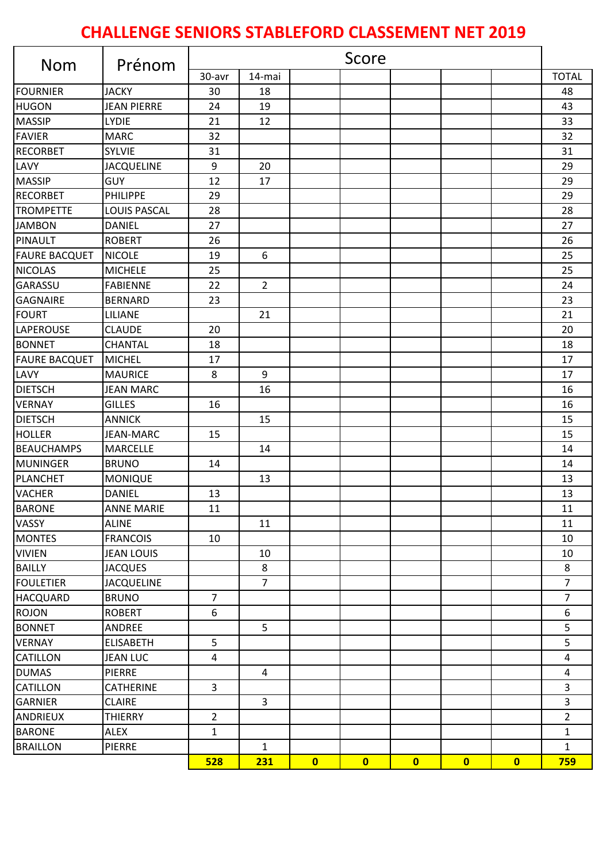## **CHALLENGE SENIORS STABLEFORD CLASSEMENT NET 2019**

| <b>Nom</b>           | Prénom              | Score          |                  |           |                         |           |           |           |                |
|----------------------|---------------------|----------------|------------------|-----------|-------------------------|-----------|-----------|-----------|----------------|
|                      |                     | 30-avr         | 14-mai           |           |                         |           |           |           | <b>TOTAL</b>   |
| <b>FOURNIER</b>      | <b>JACKY</b>        | 30             | 18               |           |                         |           |           |           | 48             |
| <b>HUGON</b>         | <b>JEAN PIERRE</b>  | 24             | 19               |           |                         |           |           |           | 43             |
| <b>MASSIP</b>        | <b>LYDIE</b>        | 21             | 12               |           |                         |           |           |           | 33             |
| <b>FAVIER</b>        | <b>MARC</b>         | 32             |                  |           |                         |           |           |           | 32             |
| <b>RECORBET</b>      | <b>SYLVIE</b>       | 31             |                  |           |                         |           |           |           | 31             |
| LAVY                 | <b>JACQUELINE</b>   | 9              | 20               |           |                         |           |           |           | 29             |
| <b>MASSIP</b>        | <b>GUY</b>          | 12             | 17               |           |                         |           |           |           | 29             |
| <b>RECORBET</b>      | <b>PHILIPPE</b>     | 29             |                  |           |                         |           |           |           | 29             |
| <b>TROMPETTE</b>     | <b>LOUIS PASCAL</b> | 28             |                  |           |                         |           |           |           | 28             |
| <b>JAMBON</b>        | <b>DANIEL</b>       | 27             |                  |           |                         |           |           |           | 27             |
| PINAULT              | <b>ROBERT</b>       | 26             |                  |           |                         |           |           |           | 26             |
| <b>FAURE BACQUET</b> | <b>NICOLE</b>       | 19             | 6                |           |                         |           |           |           | 25             |
| <b>NICOLAS</b>       | <b>MICHELE</b>      | 25             |                  |           |                         |           |           |           | 25             |
| GARASSU              | <b>FABIENNE</b>     | 22             | $\overline{2}$   |           |                         |           |           |           | 24             |
| <b>GAGNAIRE</b>      | <b>BERNARD</b>      | 23             |                  |           |                         |           |           |           | 23             |
| <b>FOURT</b>         | LILIANE             |                | 21               |           |                         |           |           |           | 21             |
| <b>LAPEROUSE</b>     | <b>CLAUDE</b>       | 20             |                  |           |                         |           |           |           | 20             |
| <b>BONNET</b>        | <b>CHANTAL</b>      | 18             |                  |           |                         |           |           |           | 18             |
| <b>FAURE BACQUET</b> | <b>MICHEL</b>       | 17             |                  |           |                         |           |           |           | 17             |
| LAVY                 | <b>MAURICE</b>      | 8              | $\boldsymbol{9}$ |           |                         |           |           |           | 17             |
| <b>DIETSCH</b>       | <b>JEAN MARC</b>    |                | 16               |           |                         |           |           |           | 16             |
| <b>VERNAY</b>        | <b>GILLES</b>       | 16             |                  |           |                         |           |           |           | 16             |
| <b>DIETSCH</b>       | <b>ANNICK</b>       |                | 15               |           |                         |           |           |           | 15             |
| <b>HOLLER</b>        | <b>JEAN-MARC</b>    | 15             |                  |           |                         |           |           |           | 15             |
| <b>BEAUCHAMPS</b>    | <b>MARCELLE</b>     |                | 14               |           |                         |           |           |           | 14             |
| <b>MUNINGER</b>      | <b>BRUNO</b>        | 14             |                  |           |                         |           |           |           | 14             |
| PLANCHET             | <b>MONIQUE</b>      |                | 13               |           |                         |           |           |           | 13             |
| <b>VACHER</b>        | <b>DANIEL</b>       | 13             |                  |           |                         |           |           |           | 13             |
| <b>BARONE</b>        | <b>ANNE MARIE</b>   | $11\,$         |                  |           |                         |           |           |           | $11\,$         |
| <b>VASSY</b>         | <b>ALINE</b>        |                | 11               |           |                         |           |           |           | 11             |
| <b>MONTES</b>        | <b>FRANCOIS</b>     | 10             |                  |           |                         |           |           |           | 10             |
| <b>VIVIEN</b>        | <b>JEAN LOUIS</b>   |                | 10               |           |                         |           |           |           | 10             |
| <b>BAILLY</b>        | <b>JACQUES</b>      |                | 8                |           |                         |           |           |           | 8              |
| <b>FOULETIER</b>     | <b>JACQUELINE</b>   |                | $\overline{7}$   |           |                         |           |           |           | $\overline{7}$ |
| <b>HACQUARD</b>      | <b>BRUNO</b>        | $\overline{7}$ |                  |           |                         |           |           |           | $\overline{7}$ |
| <b>ROJON</b>         | <b>ROBERT</b>       | 6              |                  |           |                         |           |           |           | 6              |
| <b>BONNET</b>        | ANDREE              |                | 5                |           |                         |           |           |           | 5              |
| <b>VERNAY</b>        | <b>ELISABETH</b>    | 5              |                  |           |                         |           |           |           | 5              |
| <b>CATILLON</b>      | <b>JEAN LUC</b>     | 4              |                  |           |                         |           |           |           | 4              |
| <b>DUMAS</b>         | <b>PIERRE</b>       |                | 4                |           |                         |           |           |           | $\overline{4}$ |
| <b>CATILLON</b>      | <b>CATHERINE</b>    | 3              |                  |           |                         |           |           |           | 3              |
| <b>GARNIER</b>       | <b>CLAIRE</b>       |                | 3                |           |                         |           |           |           | 3              |
| ANDRIEUX             | <b>THIERRY</b>      | $\overline{2}$ |                  |           |                         |           |           |           | $\overline{2}$ |
| <b>BARONE</b>        | ALEX                | $\mathbf{1}$   |                  |           |                         |           |           |           | $\mathbf 1$    |
| <b>BRAILLON</b>      | <b>PIERRE</b>       |                | $\mathbf{1}$     |           |                         |           |           |           | 1              |
|                      |                     | <b>528</b>     | 231              | $\bullet$ | $\overline{\mathbf{0}}$ | $\bullet$ | $\bullet$ | $\bullet$ | 759            |